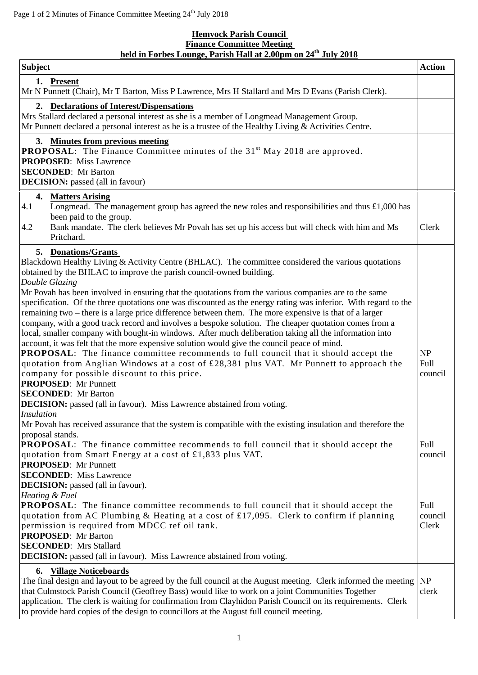$\overline{r}$ 

## **Hemyock Parish Council Finance Committee Meeting held in Forbes Lounge, Parish Hall at 2.00pm on 24th July 2018**

| <b>Subject</b>                                                                                                                                                                                                                                                                                                                                                                                                                                                                                                                                                                                                                                                                                                                                                                                                                                                                                                                                                                                                                                  | <b>Action</b>            |
|-------------------------------------------------------------------------------------------------------------------------------------------------------------------------------------------------------------------------------------------------------------------------------------------------------------------------------------------------------------------------------------------------------------------------------------------------------------------------------------------------------------------------------------------------------------------------------------------------------------------------------------------------------------------------------------------------------------------------------------------------------------------------------------------------------------------------------------------------------------------------------------------------------------------------------------------------------------------------------------------------------------------------------------------------|--------------------------|
| 1. Present<br>Mr N Punnett (Chair), Mr T Barton, Miss P Lawrence, Mrs H Stallard and Mrs D Evans (Parish Clerk).                                                                                                                                                                                                                                                                                                                                                                                                                                                                                                                                                                                                                                                                                                                                                                                                                                                                                                                                |                          |
| 2. Declarations of Interest/Dispensations<br>Mrs Stallard declared a personal interest as she is a member of Longmead Management Group.<br>Mr Punnett declared a personal interest as he is a trustee of the Healthy Living & Activities Centre.                                                                                                                                                                                                                                                                                                                                                                                                                                                                                                                                                                                                                                                                                                                                                                                                |                          |
| 3. Minutes from previous meeting<br><b>PROPOSAL:</b> The Finance Committee minutes of the 31 <sup>st</sup> May 2018 are approved.<br><b>PROPOSED:</b> Miss Lawrence<br><b>SECONDED:</b> Mr Barton<br><b>DECISION:</b> passed (all in favour)                                                                                                                                                                                                                                                                                                                                                                                                                                                                                                                                                                                                                                                                                                                                                                                                    |                          |
| 4. Matters Arising<br>4.1<br>Longmead. The management group has agreed the new roles and responsibilities and thus $\pounds$ 1,000 has<br>been paid to the group.<br>Bank mandate. The clerk believes Mr Povah has set up his access but will check with him and Ms<br>4.2<br>Pritchard.                                                                                                                                                                                                                                                                                                                                                                                                                                                                                                                                                                                                                                                                                                                                                        | Clerk                    |
| 5. Donations/Grants<br>Blackdown Healthy Living & Activity Centre (BHLAC). The committee considered the various quotations<br>obtained by the BHLAC to improve the parish council-owned building.<br>Double Glazing                                                                                                                                                                                                                                                                                                                                                                                                                                                                                                                                                                                                                                                                                                                                                                                                                             |                          |
| Mr Povah has been involved in ensuring that the quotations from the various companies are to the same<br>specification. Of the three quotations one was discounted as the energy rating was inferior. With regard to the<br>remaining two – there is a large price difference between them. The more expensive is that of a larger<br>company, with a good track record and involves a bespoke solution. The cheaper quotation comes from a<br>local, smaller company with bought-in windows. After much deliberation taking all the information into<br>account, it was felt that the more expensive solution would give the council peace of mind.<br><b>PROPOSAL:</b> The finance committee recommends to full council that it should accept the<br>quotation from Anglian Windows at a cost of $£28,381$ plus VAT. Mr Punnett to approach the<br>company for possible discount to this price.<br><b>PROPOSED:</b> Mr Punnett<br><b>SECONDED:</b> Mr Barton<br><b>DECISION:</b> passed (all in favour). Miss Lawrence abstained from voting. | NP<br>Full<br>council    |
| <i>Insulation</i><br>Mr Povah has received assurance that the system is compatible with the existing insulation and therefore the<br>proposal stands.<br><b>PROPOSAL:</b> The finance committee recommends to full council that it should accept the<br>quotation from Smart Energy at a cost of £1,833 plus VAT.                                                                                                                                                                                                                                                                                                                                                                                                                                                                                                                                                                                                                                                                                                                               | Full<br>council          |
| <b>PROPOSED:</b> Mr Punnett<br><b>SECONDED:</b> Miss Lawrence<br><b>DECISION:</b> passed (all in favour).<br>Heating & Fuel<br><b>PROPOSAL:</b> The finance committee recommends to full council that it should accept the<br>quotation from AC Plumbing & Heating at a cost of £17,095. Clerk to confirm if planning<br>permission is required from MDCC ref oil tank.<br><b>PROPOSED:</b> Mr Barton<br><b>SECONDED:</b> Mrs Stallard<br><b>DECISION:</b> passed (all in favour). Miss Lawrence abstained from voting.                                                                                                                                                                                                                                                                                                                                                                                                                                                                                                                         | Full<br>council<br>Clerk |
| 6. Village Noticeboards<br>The final design and layout to be agreed by the full council at the August meeting. Clerk informed the meeting<br>that Culmstock Parish Council (Geoffrey Bass) would like to work on a joint Communities Together<br>application. The clerk is waiting for confirmation from Clayhidon Parish Council on its requirements. Clerk<br>to provide hard copies of the design to councillors at the August full council meeting.                                                                                                                                                                                                                                                                                                                                                                                                                                                                                                                                                                                         | <b>NP</b><br>clerk       |